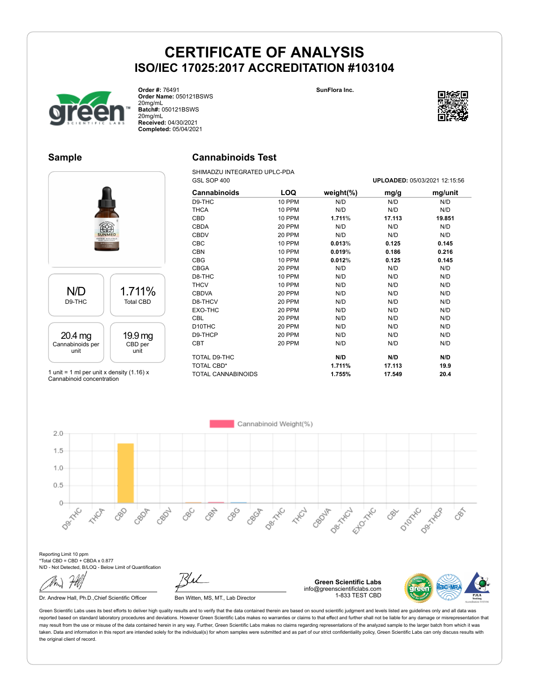**SunFlora Inc.**



**Order #:** 76491 **Order Name:** 050121BSWS 20mg/mL **Batch#:** 050121BSWS 20mg/mL **Received:** 04/30/2021 **Completed:** 05/04/2021

### **Sample**

# **Cannabinoids Test**

SHIMADZU INTEGRATED UPLC-PDA



1 unit = 1 ml per unit x density  $(1.16)$  x Cannabinoid concentration

| GSL SOP 400         |               |               | UPLOADED: 05/03/2021 12:15:56 |         |  |
|---------------------|---------------|---------------|-------------------------------|---------|--|
| <b>Cannabinoids</b> | LOQ           | weight $(\%)$ | mg/g                          | mg/unit |  |
| D9-THC              | 10 PPM        | N/D           | N/D                           | N/D     |  |
| <b>THCA</b>         | 10 PPM        | N/D           | N/D                           | N/D     |  |
| CBD                 | <b>10 PPM</b> | 1.711%        | 17.113                        | 19.851  |  |
| <b>CBDA</b>         | 20 PPM        | N/D           | N/D                           | N/D     |  |
| <b>CBDV</b>         | 20 PPM        | N/D           | N/D                           | N/D     |  |
| <b>CBC</b>          | <b>10 PPM</b> | 0.013%        | 0.125                         | 0.145   |  |
| <b>CBN</b>          | <b>10 PPM</b> | 0.019%        | 0.186                         | 0.216   |  |
| <b>CBG</b>          | <b>10 PPM</b> | 0.012%        | 0.125                         | 0.145   |  |
| <b>CBGA</b>         | 20 PPM        | N/D           | N/D                           | N/D     |  |
| D8-THC              | 10 PPM        | N/D           | N/D                           | N/D     |  |
| <b>THCV</b>         | 10 PPM        | N/D           | N/D                           | N/D     |  |
| <b>CBDVA</b>        | 20 PPM        | N/D           | N/D                           | N/D     |  |
| D8-THCV             | 20 PPM        | N/D           | N/D                           | N/D     |  |
| EXO-THC             | 20 PPM        | N/D           | N/D                           | N/D     |  |
| <b>CBL</b>          | 20 PPM        | N/D           | N/D                           | N/D     |  |
| D <sub>10</sub> THC | 20 PPM        | N/D           | N/D                           | N/D     |  |
| D9-THCP             | 20 PPM        | N/D           | N/D                           | N/D     |  |
| <b>CBT</b>          | 20 PPM        | N/D           | N/D                           | N/D     |  |
| TOTAL D9-THC        |               | N/D           | N/D                           | N/D     |  |
| TOTAL CBD*          |               | 1.711%        | 17.113                        | 19.9    |  |
| TOTAL CANNABINOIDS  |               | 1.755%        | 17.549                        | 20.4    |  |

Cannabinoid Weight(%)  $2.0$  $1.5$  $1.0$  $0.5$  $\circ$ Desirable Desity CL Ello<sup>xxc</sup> D-Morte Dentres CBOT Den Hitch 88 CBOR CRO21 CBC 890 **HARCH** CBOJF CRY **ANDR** 087 EEE

Reporting Limit 10 ppm \*Total CBD = CBD + CBDA x 0.877 N/D - Not Detected, B/LOQ - Below Limit of Quantification

Dr. Andrew Hall, Ph.D., Chief Scientific Officer Ben Witten, MS, MT., Lab Director

**Green Scientific Labs** info@greenscientificlabs.com 1-833 TEST CBD



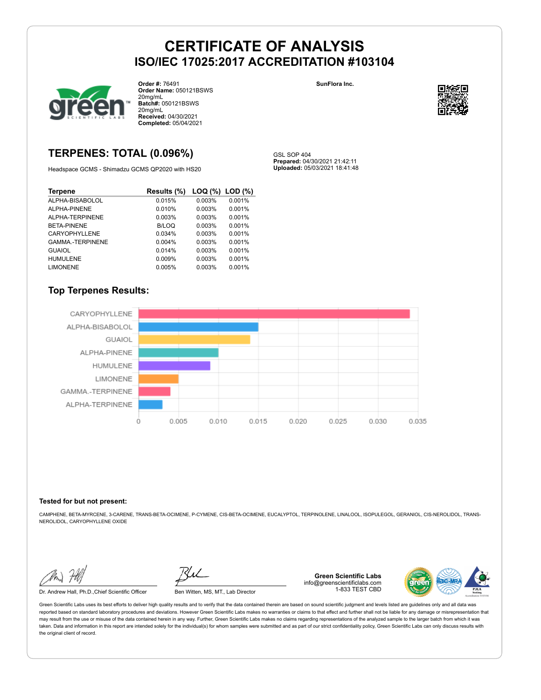GSL SOP 404

**Prepared:** 04/30/2021 21:42:11 **Uploaded:** 05/03/2021 18:41:48



**Order #:** 76491 **Order Name:** 050121BSWS 20mg/mL **Batch#:** 050121BSWS 20mg/mL **Received:** 04/30/2021 **Completed:** 05/04/2021

# **TERPENES: TOTAL (0.096%)**

Headspace GCMS - Shimadzu GCMS QP2020 with HS20

| <b>Terpene</b>         | Results (%)  | LOG (%) LOD (%) |        |
|------------------------|--------------|-----------------|--------|
| ALPHA-BISABOLOL        | 0.015%       | 0.003%          | 0.001% |
| ALPHA-PINENE           | 0.010%       | 0.003%          | 0.001% |
| ALPHA-TERPINENE        | 0.003%       | 0.003%          | 0.001% |
| BETA-PINENE            | <b>B/LOQ</b> | 0.003%          | 0.001% |
| CARYOPHYLLENE          | 0.034%       | 0.003%          | 0.001% |
| <b>GAMMA-TERPINENE</b> | 0.004%       | 0.003%          | 0.001% |
| <b>GUAIOL</b>          | 0.014%       | 0.003%          | 0.001% |
| <b>HUMULENE</b>        | 0.009%       | 0.003%          | 0.001% |
| <b>LIMONENE</b>        | 0.005%       | 0.003%          | 0.001% |

### **Top Terpenes Results:**



#### **Tested for but not present:**

CAMPHENE, BETA-MYRCENE, 3-CARENE, TRANS-BETA-OCIMENE, P-CYMENE, CIS-BETA-OCIMENE, EUCALYPTOL, TERPINOLENE, LINALOOL, ISOPULEGOL, GERANIOL, CIS-NEROLIDOL, TRANS-NEROLIDOL, CARYOPHYLLENE OXIDE

Dr. Andrew Hall, Ph.D.,Chief Scientific Officer Ben Witten, MS, MT., Lab Director

**Green Scientific Labs** info@greenscientificlabs.com 1-833 TEST CBD



Green Scientific Labs uses its best efforts to deliver high quality results and to verify that the data contained therein are based on sound scientific judgment and levels listed are guidelines only and all data was reported based on standard laboratory procedures and deviations. However Green Scientific Labs makes no warranties or claims to that effect and further shall not be liable for any damage or misrepresentation that may result from the use or misuse of the data contained herein in any way. Further, Green Scientific Labs makes no claims regarding representations of the analyzed sample to the larger batch from which it was taken. Data and information in this report are intended solely for the individual(s) for whom samples were submitted and as part of our strict confidentiality policy, Green Scientific Labs can only discuss results with the original client of record.

**SunFlora Inc.**

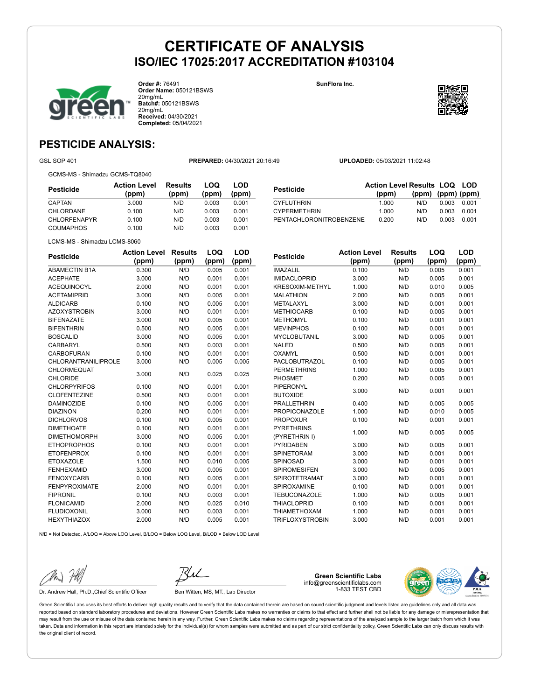

**Order #:** 76491 **Order Name:** 050121BSWS 20mg/mL **Batch#:** 050121BSWS 20mg/mL **Received:** 04/30/2021 **Completed:** 05/04/2021

**SunFlora Inc.**



**LOQ**

**LOD**

# **PESTICIDE ANALYSIS:**

GSL SOP 401 **PREPARED:** 04/30/2021 20:16:49 **UPLOADED:** 05/03/2021 11:02:48

GCMS-MS - Shimadzu GCMS-TQ8040

| Pesticide           | <b>Action Level</b><br>(ppm) | Results<br>(ppm) | LOQ<br>(ppm) | LOD<br>(ppm) |
|---------------------|------------------------------|------------------|--------------|--------------|
| CAPTAN              | 3.000                        | N/D              | 0.003        | 0.001        |
| CHLORDANE           | 0.100                        | N/D              | 0.003        | 0.001        |
| <b>CHLORFENAPYR</b> | 0.100                        | N/D              | 0.003        | 0.001        |
| COUMAPHOS           | 0.100                        | N/D              | 0.003        | 0.001        |

|                         | <b>Action Level Results LOQ LOD</b> |                   |       |       |
|-------------------------|-------------------------------------|-------------------|-------|-------|
| <b>Pesticide</b>        | (ppm)                               | (ppm) (ppm) (ppm) |       |       |
| <b>CYFLUTHRIN</b>       | 1.000                               | N/D.              | 0.003 | 0.001 |
| <b>CYPERMETHRIN</b>     | 1.000                               | N/D               | 0.003 | 0.001 |
| PENTACHLORONITROBENZENE | 0.200                               | N/D               | 0.003 | 0.001 |

LCMS-MS - Shimadzu LCMS-8060

| <b>Pesticide</b>           | <b>Action Level</b> | <b>Results</b> | LOQ   | <b>LOD</b> |
|----------------------------|---------------------|----------------|-------|------------|
|                            | (ppm)               | (ppm)          | (ppm) | (ppm)      |
| <b>ABAMECTIN B1A</b>       | 0.300               | N/D            | 0.005 | 0.001      |
| <b>ACEPHATE</b>            | 3.000               | N/D            | 0.001 | 0.001      |
| <b>ACEQUINOCYL</b>         | 2.000               | N/D            | 0.001 | 0.001      |
| <b>ACETAMIPRID</b>         | 3.000               | N/D            | 0.005 | 0.001      |
| <b>ALDICARB</b>            | 0.100               | N/D            | 0.005 | 0.001      |
| <b>AZOXYSTROBIN</b>        | 3.000               | N/D            | 0.001 | 0.001      |
| <b>BIFENAZATE</b>          | 3.000               | N/D            | 0.005 | 0.001      |
| <b>BIFENTHRIN</b>          | 0.500               | N/D            | 0.005 | 0.001      |
| <b>BOSCALID</b>            | 3.000               | N/D            | 0.005 | 0.001      |
| <b>CARBARYL</b>            | 0.500               | N/D            | 0.003 | 0.001      |
| <b>CARBOFURAN</b>          | 0.100               | N/D            | 0.001 | 0.001      |
| <b>CHLORANTRANILIPROLE</b> | 3.000               | N/D            | 0.005 | 0.005      |
| CHLORMEQUAT                | 3.000               | N/D            | 0.025 | 0.025      |
| <b>CHLORIDE</b>            |                     |                |       |            |
| <b>CHLORPYRIFOS</b>        | 0.100               | N/D            | 0.001 | 0.001      |
| <b>CLOFENTEZINE</b>        | 0.500               | N/D            | 0.001 | 0.001      |
| <b>DAMINOZIDE</b>          | 0.100               | N/D            | 0.005 | 0.001      |
| <b>DIAZINON</b>            | 0.200               | N/D            | 0.001 | 0.001      |
| <b>DICHLORVOS</b>          | 0.100               | N/D            | 0.005 | 0.001      |
| <b>DIMETHOATE</b>          | 0.100               | N/D            | 0.001 | 0.001      |
| <b>DIMETHOMORPH</b>        | 3.000               | N/D            | 0.005 | 0.001      |
| <b>ETHOPROPHOS</b>         | 0.100               | N/D            | 0.001 | 0.001      |
| <b>ETOFENPROX</b>          | 0.100               | N/D            | 0.001 | 0.001      |
| <b>ETOXAZOLE</b>           | 1.500               | N/D            | 0.010 | 0.005      |
| <b>FENHEXAMID</b>          | 3.000               | N/D            | 0.005 | 0.001      |
| <b>FENOXYCARB</b>          | 0.100               | N/D            | 0.005 | 0.001      |
| <b>FENPYROXIMATE</b>       | 2.000               | N/D            | 0.001 | 0.001      |
| <b>FIPRONIL</b>            | 0.100               | N/D            | 0.003 | 0.001      |
| <b>FLONICAMID</b>          | 2.000               | N/D            | 0.025 | 0.010      |
| <b>FLUDIOXONIL</b>         | 3.000               | N/D            | 0.003 | 0.001      |
| <b>HEXYTHIAZOX</b>         | 2.000               | N/D            | 0.005 | 0.001      |
|                            |                     |                |       |            |

| <b>Pesticide</b>       | <b>Action Level</b> | <b>Results</b> | LOQ   | <b>LOD</b> |
|------------------------|---------------------|----------------|-------|------------|
|                        | (ppm)               | (ppm)          | (ppm) | (ppm)      |
| <b>IMAZALIL</b>        | 0.100               | N/D            | 0.005 | 0.001      |
| <b>IMIDACLOPRID</b>    | 3.000               | N/D            | 0.005 | 0.001      |
| <b>KRESOXIM-METHYL</b> | 1.000               | N/D            | 0.010 | 0.005      |
| <b>MALATHION</b>       | 2.000               | N/D            | 0.005 | 0.001      |
| METALAXYL              | 3.000               | N/D            | 0.001 | 0.001      |
| <b>METHIOCARB</b>      | 0.100               | N/D            | 0.005 | 0.001      |
| <b>METHOMYL</b>        | 0.100               | N/D            | 0.001 | 0.001      |
| <b>MEVINPHOS</b>       | 0.100               | N/D            | 0.001 | 0.001      |
| <b>MYCLOBUTANIL</b>    | 3.000               | N/D            | 0.005 | 0.001      |
| <b>NALED</b>           | 0.500               | N/D            | 0.005 | 0.001      |
| OXAMYL                 | 0.500               | N/D            | 0.001 | 0.001      |
| PACLOBUTRAZOL          | 0.100               | N/D            | 0.005 | 0.001      |
| <b>PERMETHRINS</b>     | 1.000               | N/D            | 0.005 | 0.001      |
| PHOSMET                | 0.200               | N/D            | 0.005 | 0.001      |
| PIPERONYL              | 3.000               | N/D            | 0.001 | 0.001      |
| <b>BUTOXIDE</b>        |                     |                |       |            |
| <b>PRALLETHRIN</b>     | 0.400               | N/D            | 0.005 | 0.005      |
| <b>PROPICONAZOLE</b>   | 1.000               | N/D            | 0.010 | 0.005      |
| <b>PROPOXUR</b>        | 0.100               | N/D            | 0.001 | 0.001      |
| <b>PYRETHRINS</b>      | 1.000               | N/D            | 0.005 | 0.005      |
| (PYRETHRIN I)          |                     |                |       |            |
| <b>PYRIDABEN</b>       | 3.000               | N/D            | 0.005 | 0.001      |
| <b>SPINETORAM</b>      | 3.000               | N/D            | 0.001 | 0.001      |
| SPINOSAD               | 3.000               | N/D            | 0.001 | 0.001      |
| <b>SPIROMESIFEN</b>    | 3.000               | N/D            | 0.005 | 0.001      |
| <b>SPIROTETRAMAT</b>   | 3.000               | N/D            | 0.001 | 0.001      |
| SPIROXAMINE            | 0.100               | N/D            | 0.001 | 0.001      |
| <b>TEBUCONAZOLE</b>    | 1.000               | N/D            | 0.005 | 0.001      |
| <b>THIACLOPRID</b>     | 0.100               | N/D            | 0.001 | 0.001      |
| <b>THIAMETHOXAM</b>    | 1.000               | N/D            | 0.001 | 0.001      |
| <b>TRIFLOXYSTROBIN</b> | 3.000               | N/D            | 0.001 | 0.001      |

N/D = Not Detected, A/LOQ = Above LOQ Level, B/LOQ = Below LOQ Level, B/LOD = Below LOD Level



Dr. Andrew Hall, Ph.D., Chief Scientific Officer Ben Witten, MS, MT., Lab Director

**Green Scientific Labs** info@greenscientificlabs.com 1-833 TEST CBD

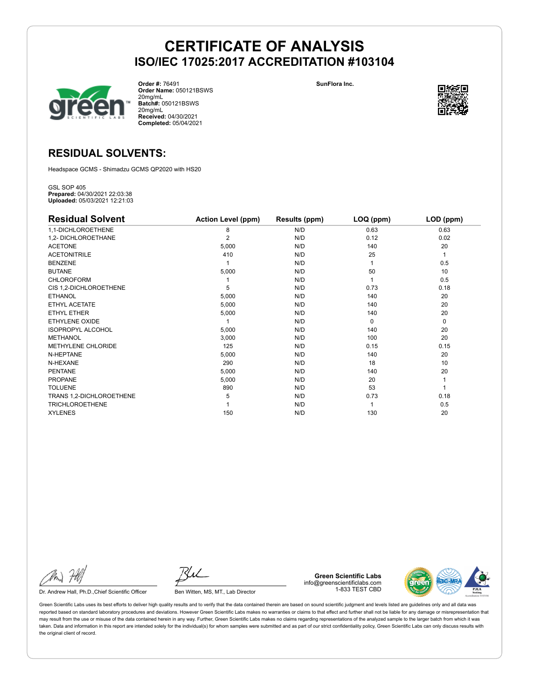

**Order #:** 76491 **Order Name:** 050121BSWS 20mg/mL **Batch#:** 050121BSWS 20mg/mL **Received:** 04/30/2021 **Completed:** 05/04/2021

**SunFlora Inc.**



# **RESIDUAL SOLVENTS:**

Headspace GCMS - Shimadzu GCMS QP2020 with HS20

GSL SOP 405 **Prepared:** 04/30/2021 22:03:38 **Uploaded:** 05/03/2021 12:21:03

| <b>Residual Solvent</b>  | <b>Action Level (ppm)</b> | Results (ppm) | LOQ (ppm) | LOD (ppm) |
|--------------------------|---------------------------|---------------|-----------|-----------|
| 1,1-DICHLOROETHENE       | 8                         | N/D           | 0.63      | 0.63      |
| 1,2- DICHLOROETHANE      | $\overline{2}$            | N/D           | 0.12      | 0.02      |
| <b>ACETONE</b>           | 5,000                     | N/D           | 140       | 20        |
| <b>ACETONITRILE</b>      | 410                       | N/D           | 25        | 1         |
| <b>BENZENE</b>           |                           | N/D           |           | 0.5       |
| <b>BUTANE</b>            | 5,000                     | N/D           | 50        | 10        |
| <b>CHLOROFORM</b>        |                           | N/D           |           | 0.5       |
| CIS 1,2-DICHLOROETHENE   | 5                         | N/D           | 0.73      | 0.18      |
| <b>ETHANOL</b>           | 5,000                     | N/D           | 140       | 20        |
| ETHYL ACETATE            | 5,000                     | N/D           | 140       | 20        |
| <b>ETHYL ETHER</b>       | 5,000                     | N/D           | 140       | 20        |
| ETHYLENE OXIDE           |                           | N/D           | $\Omega$  | 0         |
| <b>ISOPROPYL ALCOHOL</b> | 5,000                     | N/D           | 140       | 20        |
| <b>METHANOL</b>          | 3,000                     | N/D           | 100       | 20        |
| METHYLENE CHLORIDE       | 125                       | N/D           | 0.15      | 0.15      |
| N-HEPTANE                | 5,000                     | N/D           | 140       | 20        |
| N-HEXANE                 | 290                       | N/D           | 18        | 10        |
| <b>PENTANE</b>           | 5,000                     | N/D           | 140       | 20        |
| <b>PROPANE</b>           | 5,000                     | N/D           | 20        |           |
| <b>TOLUENE</b>           | 890                       | N/D           | 53        |           |
| TRANS 1,2-DICHLOROETHENE | 5                         | N/D           | 0.73      | 0.18      |
| <b>TRICHLOROETHENE</b>   |                           | N/D           |           | 0.5       |
| <b>XYLENES</b>           | 150                       | N/D           | 130       | 20        |

Dr. Andrew Hall, Ph.D., Chief Scientific Officer Ben Witten, MS, MT., Lab Director

**Green Scientific Labs** info@greenscientificlabs.com 1-833 TEST CBD

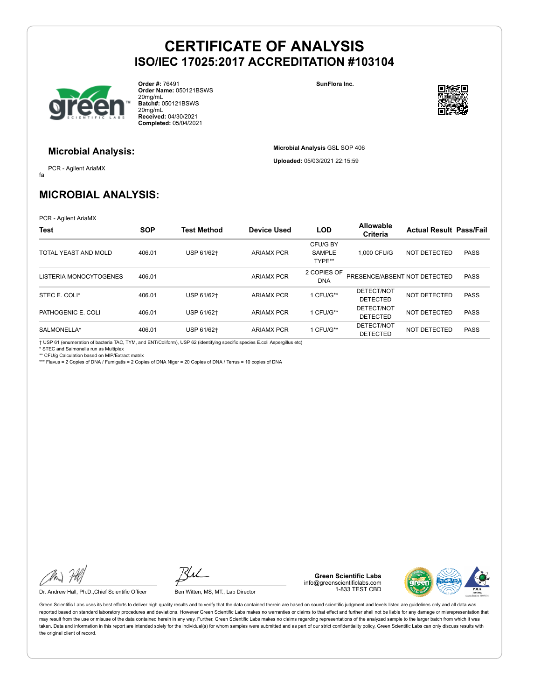

**Order #:** 76491 **Order Name:** 050121BSWS 20mg/mL **Batch#:** 050121BSWS 20mg/mL **Received:** 04/30/2021 **Completed:** 05/04/2021

**SunFlora Inc.**

**Microbial Analysis** GSL SOP 406 **Uploaded:** 05/03/2021 22:15:59



#### **Microbial Analysis:**

fa PCR - Agilent AriaMX

# **MICROBIAL ANALYSIS:**

PCR - Agilent AriaMX

| Test                   | <b>SOP</b> | <b>Test Method</b> | <b>Device Used</b> | <b>LOD</b>                          | <b>Allowable</b><br><b>Criteria</b> | <b>Actual Result Pass/Fail</b> |             |
|------------------------|------------|--------------------|--------------------|-------------------------------------|-------------------------------------|--------------------------------|-------------|
| TOTAL YEAST AND MOLD   | 406.01     | USP 61/62+         | <b>ARIAMX PCR</b>  | CFU/G BY<br><b>SAMPLE</b><br>TYPE** | 1.000 CFU/G                         | NOT DETECTED                   | <b>PASS</b> |
| LISTERIA MONOCYTOGENES | 406.01     |                    | <b>ARIAMX PCR</b>  | 2 COPIES OF<br><b>DNA</b>           | PRESENCE/ABSENT NOT DETECTED        |                                | <b>PASS</b> |
| STEC E. COLI*          | 406.01     | USP 61/62+         | <b>ARIAMX PCR</b>  | 1 CFU/G**                           | DETECT/NOT<br><b>DETECTED</b>       | NOT DETECTED                   | <b>PASS</b> |
| PATHOGENIC E. COLI     | 406.01     | USP 61/62+         | <b>ARIAMX PCR</b>  | 1 CFU/G**                           | DETECT/NOT<br><b>DETECTED</b>       | NOT DETECTED                   | <b>PASS</b> |
| SALMONELLA*            | 406.01     | USP 61/62+         | <b>ARIAMX PCR</b>  | 1 CFU/G**                           | DETECT/NOT<br><b>DETECTED</b>       | NOT DETECTED                   | <b>PASS</b> |

† USP 61 (enumeration of bacteria TAC, TYM, and ENT/Coliform), USP 62 (identifying specific species E.coli Aspergillus etc)

\* STEC and Salmonella run as Multiplex \*\* CFU/g Calculation based on MIP/Extract matrix

\*\*\* Flavus = 2 Copies of DNA / Fumigatis = 2 Copies of DNA Niger = 20 Copies of DNA / Terrus = 10 copies of DNA

Dr. Andrew Hall, Ph.D., Chief Scientific Officer Ben Witten, MS, MT., Lab Director

**Green Scientific Labs** info@greenscientificlabs.com 1-833 TEST CBD